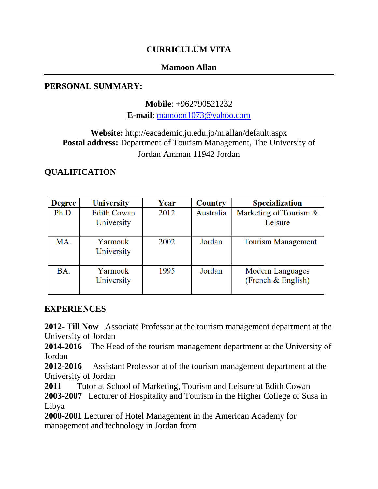## **CURRICULUM VITA**

### **Mamoon Allan**

### **PERSONAL SUMMARY:**

**Mobile**: +962790521232

**E-mail**: [mamoon1073@yahoo.com](mailto:mamoon1073@yahoo.com)

# **Website:** http://eacademic.ju.edu.jo/m.allan/default.aspx **Postal address:** Department of Tourism Management, The University of Jordan Amman 11942 Jordan

# **QUALIFICATION**

| <b>Degree</b> | <b>University</b>  | Year | <b>Country</b> | <b>Specialization</b>     |
|---------------|--------------------|------|----------------|---------------------------|
| Ph.D.         | <b>Edith Cowan</b> | 2012 | Australia      | Marketing of Tourism &    |
|               | University         |      |                | Leisure                   |
|               |                    |      |                |                           |
| MA.           | Yarmouk            | 2002 | Jordan         | <b>Tourism Management</b> |
|               | University         |      |                |                           |
|               |                    |      |                |                           |
| BA.           | Yarmouk            | 1995 | Jordan         | Modern Languages          |
|               | University         |      |                | (French & English)        |
|               |                    |      |                |                           |

### **EXPERIENCES**

**2012- Till Now** Associate Professor at the tourism management department at the University of Jordan

**2014-2016** The Head of the tourism management department at the University of Jordan

**2012-2016** Assistant Professor at of the tourism management department at the University of Jordan

**2011** Tutor at School of Marketing, Tourism and Leisure at Edith Cowan

**2003-2007** Lecturer of Hospitality and Tourism in the Higher College of Susa in Libya

**2000-2001** Lecturer of Hotel Management in the American Academy for management and technology in Jordan from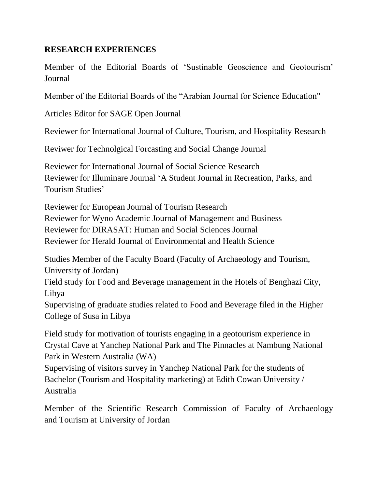### **RESEARCH EXPERIENCES**

Member of the Editorial Boards of 'Sustinable Geoscience and Geotourism' Journal

Member of the Editorial Boards of the "Arabian Journal for Science Education"

Articles Editor for SAGE Open Journal

Reviewer for International Journal of Culture, Tourism, and Hospitality Research

Reviwer for Technolgical Forcasting and Social Change Journal

Reviewer for International Journal of Social Science Research Reviewer for Illuminare Journal 'A Student Journal in Recreation, Parks, and Tourism Studies'

Reviewer for European Journal of Tourism Research Reviewer for Wyno Academic Journal of Management and Business Reviewer for DIRASAT: Human and Social Sciences Journal Reviewer for Herald Journal of Environmental and Health Science

Studies Member of the Faculty Board (Faculty of Archaeology and Tourism, University of Jordan)

Field study for Food and Beverage management in the Hotels of Benghazi City, Libya

Supervising of graduate studies related to Food and Beverage filed in the Higher College of Susa in Libya

Field study for motivation of tourists engaging in a geotourism experience in Crystal Cave at Yanchep National Park and The Pinnacles at Nambung National Park in Western Australia (WA)

Supervising of visitors survey in Yanchep National Park for the students of Bachelor (Tourism and Hospitality marketing) at Edith Cowan University / Australia

Member of the Scientific Research Commission of Faculty of Archaeology and Tourism at University of Jordan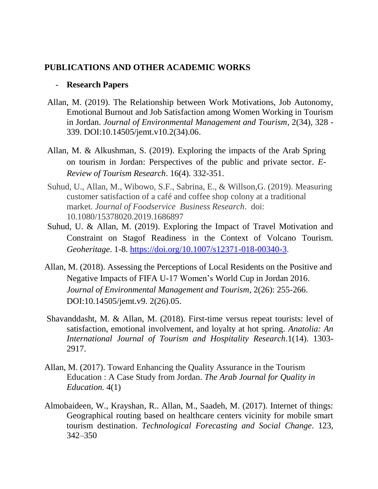### **PUBLICATIONS AND OTHER ACADEMIC WORKS**

#### - **Research Papers**

- Allan, M. (2019). The Relationship between Work Motivations, Job Autonomy, Emotional Burnout and Job Satisfaction among Women Working in Tourism in Jordan. *Journal of Environmental Management and Tourism*, 2(34), 328 - 339. DOI:10.14505/jemt.v10.2(34).06.
- Allan, M. & Alkushman, S. (2019). Exploring the impacts of the Arab Spring on tourism in Jordan: Perspectives of the public and private sector. *E-Review of Tourism Research*. 16(4). 332-351.
- Suhud, U., Allan, M., Wibowo, S.F., Sabrina, E., & Willson,G. (2019). Measuring customer satisfaction of a café and coffee shop colony at a traditional market*. Journal of Foodservice Business Research*. doi: 10.1080/15378020.2019.1686897
- Suhud, U. & Allan, M. (2019). Exploring the Impact of Travel Motivation and Constraint on Stagof Readiness in the Context of Volcano Tourism. *Geoheritage*. 1-8. [https://doi.org/10.1007/s12371-018-00340-3.](https://doi.org/10.1007/s12371-018-00340-3)
- Allan, M. (2018). Assessing the Perceptions of Local Residents on the Positive and Negative Impacts of FIFA U-17 Women's World Cup in Jordan 2016. *Journal of Environmental Management and Tourism*, 2(26): 255-266. DOI:10.14505/jemt.v9. 2(26).05.
- Shavanddasht, M. & Allan, M. (2018). First-time versus repeat tourists: level of satisfaction, emotional involvement, and loyalty at hot spring. *Anatolia: An International Journal of Tourism and Hospitality Research.*1(14). 1303- 2917.
- Allan, M. (2017). Toward Enhancing the Quality Assurance in the Tourism Education : A Case Study from Jordan. *The Arab Journal for Quality in Education.* 4(1)
- Almobaideen, W., Krayshan, R.. Allan, M., Saadeh, M. (2017). Internet of things: Geographical routing based on healthcare centers vicinity for mobile smart tourism destination. *Technological Forecasting and Social Change*. 123, 342–350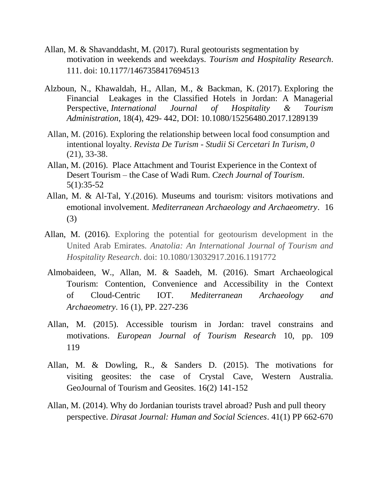- Allan, M. & Shavanddasht, M. (2017). Rural geotourists segmentation by motivation in weekends and weekdays. *Tourism and Hospitality Research*. 111. doi: 10.1177/1467358417694513
- Alzboun, N., Khawaldah, H., Allan, M., & Backman, K. (2017). Exploring the Financial Leakages in the Classified Hotels in Jordan: A Managerial Perspective, *International Journal of Hospitality & Tourism Administration*, 18(4), 429- 442, DOI: [10.1080/15256480.2017.1289139](https://doi.org/10.1080/15256480.2017.1289139)
- Allan, M. (2016). Exploring the relationship between local food consumption and intentional loyalty. *Revista De Turism - Studii Si Cercetari In Turism, 0* (21), 33-38.
- Allan, M. (2016). [Place Attachment and Tourist Experience in the Context of](https://www.researchgate.net/publication/312950279_Place_Attachment_and_Tourist_Experience_in_the_Context_of_Desert_Tourism_-_the_Case_of_Wadi_Rum?ev=prf_pub)  Desert Tourism – [the Case of Wadi Rum.](https://www.researchgate.net/publication/312950279_Place_Attachment_and_Tourist_Experience_in_the_Context_of_Desert_Tourism_-_the_Case_of_Wadi_Rum?ev=prf_pub) *Czech Journal of Tourism*. 5(1):35-52
- Allan, M. & Al-Tal, Y.(2016). Museums and tourism: visitors motivations and emotional involvement. *Mediterranean Archaeology and Archaeometry*. 16 (3)
- Allan, M. (2016). Exploring the potential for geotourism development in the United Arab Emirates*. Anatolia: An International Journal of Tourism and Hospitality Research*. doi: 10.1080/13032917.2016.1191772
- Almobaideen, W., Allan, M. & Saadeh, M. (2016). Smart Archaeological Tourism: Contention, Convenience and Accessibility in the Context of Cloud-Centric IOT. *Mediterranean Archaeology and Archaeometry*. 16 (1), PP. 227-236
- Allan, M. (2015). Accessible tourism in Jordan: travel constrains and motivations. *European Journal of Tourism Research* 10, pp. 109 119
- Allan, M. & Dowling, R., & Sanders D. (2015). The motivations for visiting geosites: the case of Crystal Cave, Western Australia. GeoJournal of Tourism and Geosites. 16(2) 141-152
- Allan, M. (2014). Why do Jordanian tourists travel abroad? Push and pull theory perspective. *Dirasat Journal: Human and Social Sciences*. 41(1) PP 662-670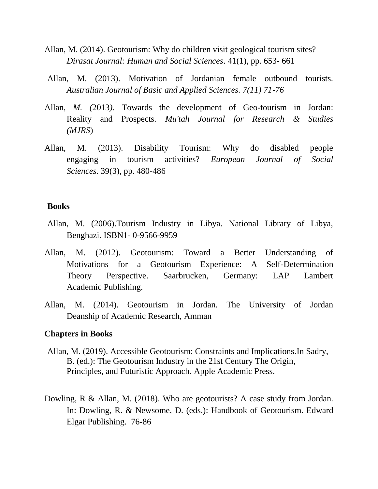- Allan, M. (2014). Geotourism: Why do children visit geological tourism sites? *Dirasat Journal: Human and Social Sciences*. 41(1), pp. 653- 661
- Allan, M. (2013). Motivation of Jordanian female outbound tourists. *Australian Journal of Basic and Applied Sciences. 7(11) 71-76*
- Allan*, M. (*2013*).* Towards the development of Geo-tourism in Jordan: Reality and Prospects*. Mu'tah Journal for Research & Studies (MJRS*)
- Allan, M. (2013). Disability Tourism: Why do disabled people engaging in tourism activities? *European Journal of Social Sciences*. 39(3), pp. 480-486

#### **Books**

- Allan, M. (2006).Tourism Industry in Libya. National Library of Libya, Benghazi. ISBN1- 0-9566-9959
- Allan, M. (2012). Geotourism: Toward a Better Understanding of Motivations for a Geotourism Experience: A Self-Determination Theory Perspective. Saarbrucken, Germany: LAP Lambert Academic Publishing.
- Allan, M. (2014). Geotourism in Jordan. The University of Jordan Deanship of Academic Research, Amman

#### **Chapters in Books**

- Allan, M. (2019). Accessible Geotourism: Constraints and Implications.In Sadry, B. (ed.): The Geotourism Industry in the 21st Century The Origin, Principles, and Futuristic Approach. Apple Academic Press.
- Dowling, R & Allan, M. (2018). Who are geotourists? A case study from Jordan. In: Dowling, R. & Newsome, D. (eds.): Handbook of Geotourism. Edward Elgar Publishing. 76-86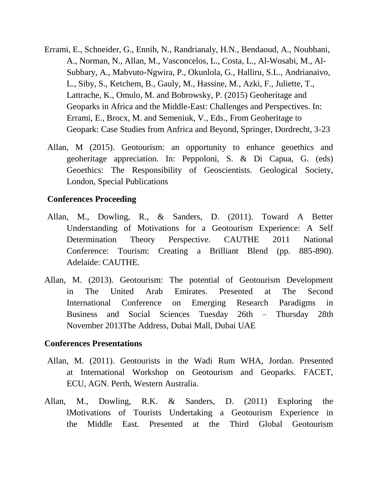- Errami, E., Schneider, G., Ennih, N., Randrianaly, H.N., Bendaoud, A., Noubhani, A., Norman, N., Allan, M., Vasconcelos, L., Costa, L., Al-Wosabi, M., Al-Subbary, A., Mabvuto-Ngwira, P., Okunlola, G., Halliru, S.L., Andrianaivo, L., Siby, S., Ketchem, B., Gauly, M., Hassine, M., Azki, F., Juliette, T., Lattrache, K., Omulo, M. and Bobrowsky, P. (2015) Geoheritage and Geoparks in Africa and the Middle-East: Challenges and Perspectives. In: Errami, E., Brocx, M. and Semeniuk, V., Eds., From Geoheritage to Geopark: Case Studies from Anfrica and Beyond, Springer, Dordrecht, 3-23
- Allan, M (2015). Geotourism: an opportunity to enhance geoethics and geoheritage appreciation. In: Peppoloni, S. & Di Capua, G. (eds) Geoethics: The Responsibility of Geoscientists. Geological Society, London, Special Publications

#### **Conferences Proceeding**

- Allan, M., Dowling, R., & Sanders, D. (2011). Toward A Better Understanding of Motivations for a Geotourism Experience: A Self Determination Theory Perspective. CAUTHE 2011 National Conference: Tourism: Creating a Brilliant Blend (pp. 885-890). Adelaide: CAUTHE.
- Allan, M. (2013). Geotourism: The potential of Geotourism Development in The United Arab Emirates. Presented at The Second International Conference on Emerging Research Paradigms in Business and Social Sciences Tuesday 26th – Thursday 28th November 2013The Address, Dubai Mall, Dubai UAE

#### **Conferences Presentations**

- Allan, M. (2011). Geotourists in the Wadi Rum WHA, Jordan. Presented at International Workshop on Geotourism and Geoparks. FACET, ECU, AGN. Perth, Western Australia.
- Allan, M., Dowling, R.K. & Sanders, D. (2011) Exploring the lMotivations of Tourists Undertaking a Geotourism Experience in the Middle East. Presented at the Third Global Geotourism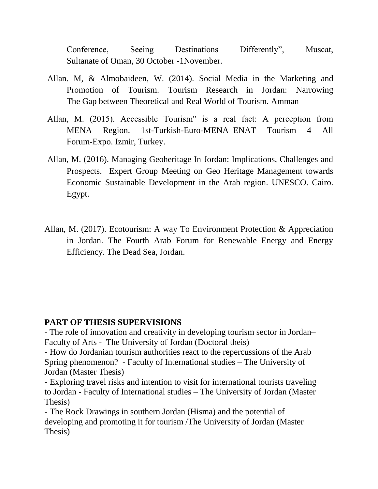Conference, Seeing Destinations Differently", Muscat, Sultanate of Oman, 30 October -1November.

- Allan. M, & Almobaideen, W. (2014). Social Media in the Marketing and Promotion of Tourism. Tourism Research in Jordan: Narrowing The Gap between Theoretical and Real World of Tourism. Amman
- Allan, M. (2015). Accessible Tourism" is a real fact: A perception from MENA Region. 1st-Turkish-Euro-MENA–ENAT Tourism 4 All Forum-Expo. Izmir, Turkey.
- Allan, M. (2016). Managing Geoheritage In Jordan: Implications, Challenges and Prospects. Expert Group Meeting on Geo Heritage Management towards Economic Sustainable Development in the Arab region. UNESCO. Cairo. Egypt.
- Allan, M. (2017). Ecotourism: A way To Environment Protection & Appreciation in Jordan. The Fourth Arab Forum for Renewable Energy and Energy Efficiency. The Dead Sea, Jordan.

### **PART OF THESIS SUPERVISIONS**

- The role of innovation and creativity in developing tourism sector in Jordan– Faculty of Arts - The University of Jordan (Doctoral theis)

- How do Jordanian tourism authorities react to the repercussions of the Arab Spring phenomenon? - Faculty of International studies – The University of Jordan (Master Thesis)

- Exploring travel risks and intention to visit for international tourists traveling to Jordan - Faculty of International studies – The University of Jordan (Master Thesis)

- The Rock Drawings in southern Jordan (Hisma) and the potential of developing and promoting it for tourism /The University of Jordan (Master Thesis)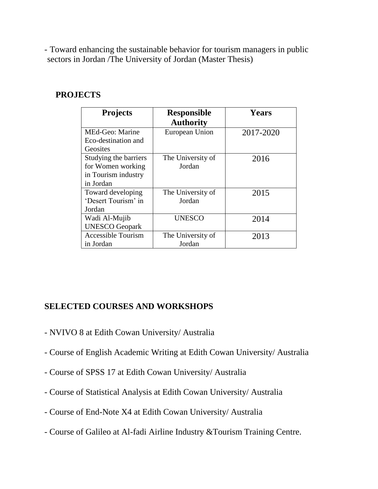- Toward enhancing the sustainable behavior for tourism managers in public sectors in Jordan /The University of Jordan (Master Thesis)

### **PROJECTS**

| <b>Projects</b>           | <b>Responsible</b><br><b>Authority</b> | <b>Years</b> |
|---------------------------|----------------------------------------|--------------|
| MEd-Geo: Marine           | European Union                         | 2017-2020    |
| Eco-destination and       |                                        |              |
| Geosites                  |                                        |              |
| Studying the barriers     | The University of                      | 2016         |
| for Women working         | Jordan                                 |              |
| in Tourism industry       |                                        |              |
| in Jordan                 |                                        |              |
| Toward developing         | The University of                      | 2015         |
| 'Desert Tourism' in       | Jordan                                 |              |
| Jordan                    |                                        |              |
| Wadi Al-Mujib             | <b>UNESCO</b>                          | 2014         |
| <b>UNESCO Geopark</b>     |                                        |              |
| <b>Accessible Tourism</b> | The University of                      | 2013         |
| in Jordan                 | Jordan                                 |              |

## **SELECTED COURSES AND WORKSHOPS**

- NVIVO 8 at Edith Cowan University/ Australia
- Course of English Academic Writing at Edith Cowan University/ Australia
- Course of SPSS 17 at Edith Cowan University/ Australia
- Course of Statistical Analysis at Edith Cowan University/ Australia
- Course of End-Note X4 at Edith Cowan University/ Australia
- Course of Galileo at Al-fadi Airline Industry &Tourism Training Centre.